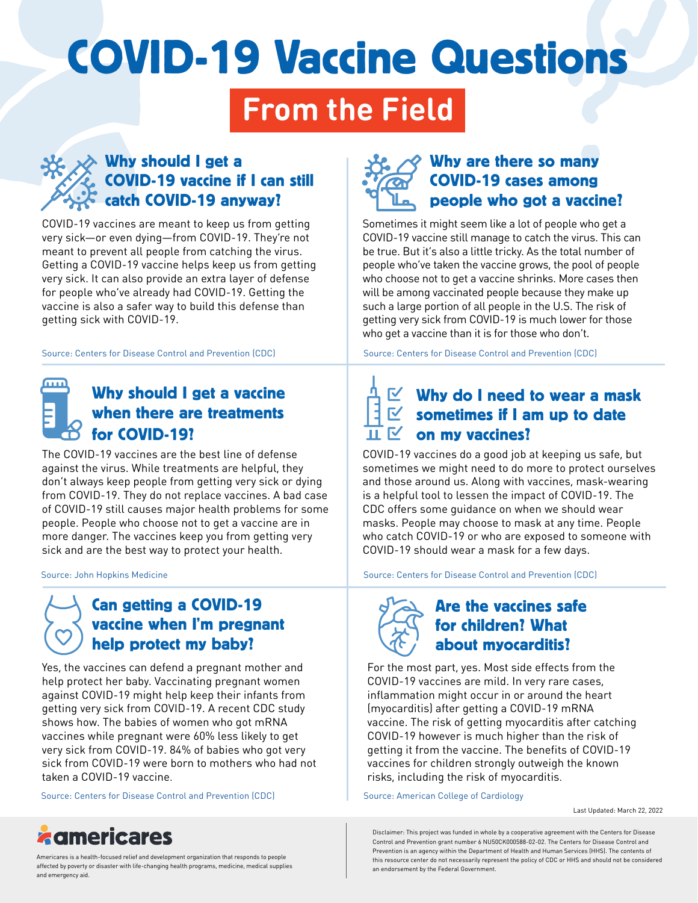# COVID-19 Vaccine Questions

# **From the Field**



COVID-19 vaccines are meant to keep us from getting very sick—or even dying—from COVID-19. They're not meant to prevent all people from catching the virus. Getting a COVID-19 vaccine helps keep us from getting very sick. It can also provide an extra layer of defense for people who've already had COVID-19. Getting the vaccine is also a safer way to build this defense than getting sick with COVID-19.

[Source: Centers for Disease Control and Prevention \(CDC\)](https://www.cdc.gov/coronavirus/2019-ncov/vaccines/vaccine-benefits.html) [Source: Centers for Disease Control and Prevention \(CDC\)](https://www.cdc.gov/coronavirus/2019-ncov/vaccines/effectiveness/why-measure-effectiveness/breakthrough-cases.html?s_cid=11749:covid%20break%20through:sem.ga:p:RG:GM:gen:PTN:FY22)

#### **nm** Why should I get a vaccine when there are treatments for COVID-19?

The COVID-19 vaccines are the best line of defense against the virus. While treatments are helpful, they don't always keep people from getting very sick or dying from COVID-19. They do not replace vaccines. A bad case of COVID-19 still causes major health problems for some people. People who choose not to get a vaccine are in more danger. The vaccines keep you from getting very sick and are the best way to protect your health.

# Can getting a COVID-19 vaccine when I'm pregnant help protect my baby?

Yes, the vaccines can defend a pregnant mother and help protect her baby. Vaccinating pregnant women against COVID-19 might help keep their infants from getting very sick from COVID-19. A recent CDC study shows how. The babies of women who got mRNA vaccines while pregnant were 60% less likely to get very sick from COVID-19. 84% of babies who got very sick from COVID-19 were born to mothers who had not taken a COVID-19 vaccine.

[Source: Centers for Disease Control and Prevention \(CDC\)](https://www.cdc.gov/mmwr/volumes/71/wr/mm7107e3.htm?s_cid=mm7107e3_w&utm_source=STAT+Newsletters&utm_campaign=c3c5f21d9e-MR_COPY_01&utm_medium=email&utm_term=0_8cab1d7961-c3c5f21d9e-153352150) [Source: American College of Cardiology](https://www.acc.org/Latest-in-Cardiology/ten-points-to-remember/2022/02/07/15/57/Myocarditis-After-BNT162b2)



## Why are there so many COVID-19 cases among people who got a vaccine?

Sometimes it might seem like a lot of people who get a COVID-19 vaccine still manage to catch the virus. This can be true. But it's also a little tricky. As the total number of people who've taken the vaccine grows, the pool of people who choose not to get a vaccine shrinks. More cases then will be among vaccinated people because they make up such a large portion of all people in the U.S. The risk of getting very sick from COVID-19 is much lower for those who get a vaccine than it is for those who don't.

# Why do I need to wear a mask sometimes if I am up to date on my vaccines?

COVID-19 vaccines do a good job at keeping us safe, but sometimes we might need to do more to protect ourselves and those around us. Along with vaccines, mask-wearing is a helpful tool to lessen the impact of COVID-19. The CDC offers some guidance on when we should wear masks. People may choose to mask at any time. People who catch COVID-19 or who are exposed to someone with COVID-19 should wear a mask for a few days.

[Source: John Hopkins Medicine](https://www.hopkinsmedicine.org/health/conditions-and-diseases/coronavirus/coronavirus-treatment-whats-in-development) [Source: Centers for Disease Control and Prevention \(CDC\)](https://www.cdc.gov/coronavirus/2019-ncov/prevent-getting-sick/about-face-coverings.html)



### Are the vaccines safe for children? What about myocarditis?

For the most part, yes. Most side effects from the COVID-19 vaccines are mild. In very rare cases, inflammation might occur in or around the heart (myocarditis) after getting a COVID-19 mRNA vaccine. The risk of getting myocarditis after catching COVID-19 however is much higher than the risk of getting it from the vaccine. The benefits of COVID-19 vaccines for children strongly outweigh the known risks, including the risk of myocarditis.

Last Updated: March 22, 2022

Disclaimer: This project was funded in whole by a cooperative agreement with the Centers for Disease Control and Prevention grant number 6 NU50CK000588-02-02. The Centers for Disease Control and Prevention is an agency within the Department of Health and Human Services (HHS). The contents of this resource center do not necessarily represent the policy of CDC or HHS and should not be considered an endorsement by the Federal Government.



Americares is a health-focused relief and development organization that responds to people affected by poverty or disaster with life-changing health programs, medicine, medical supplies and emergency aid.